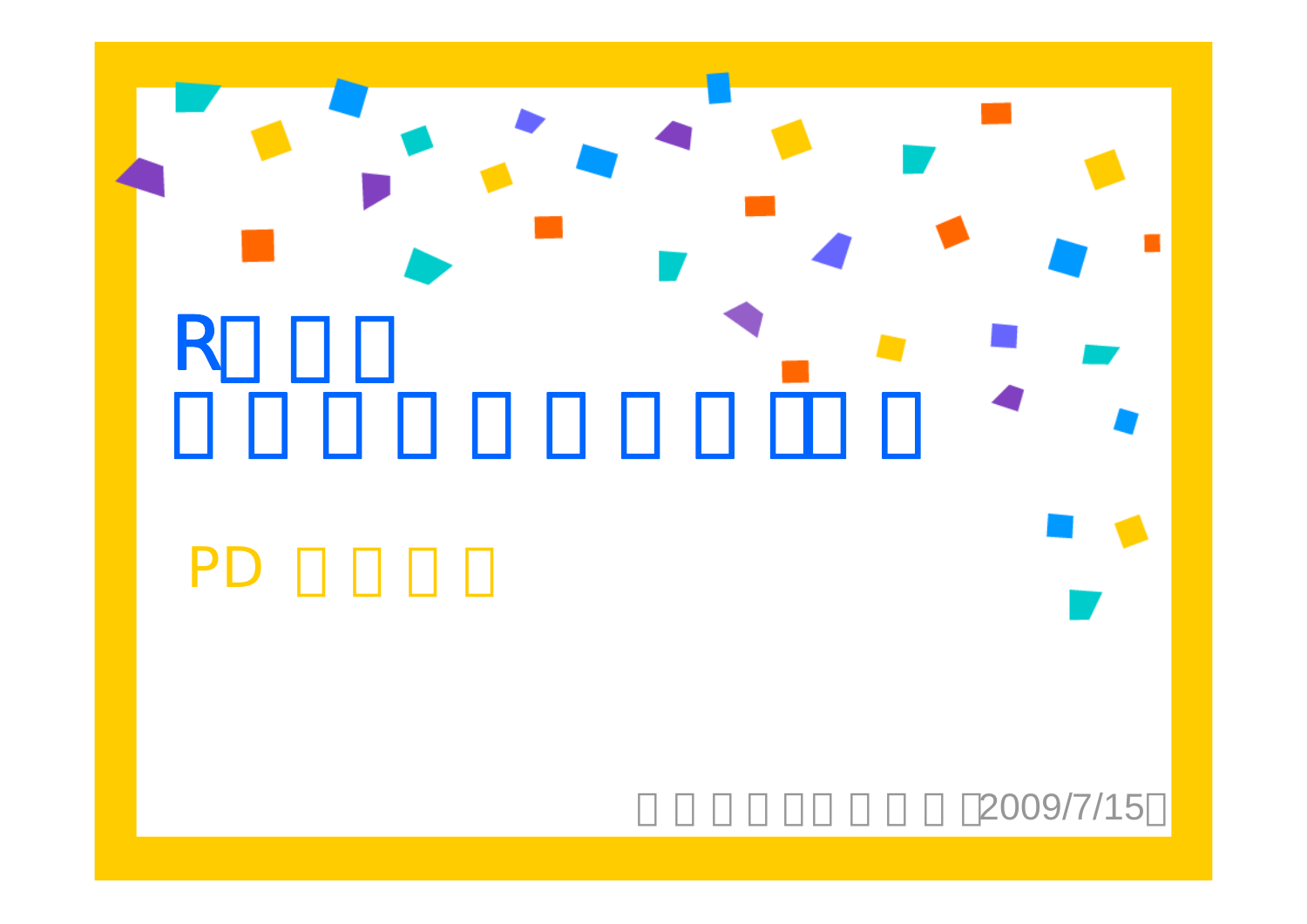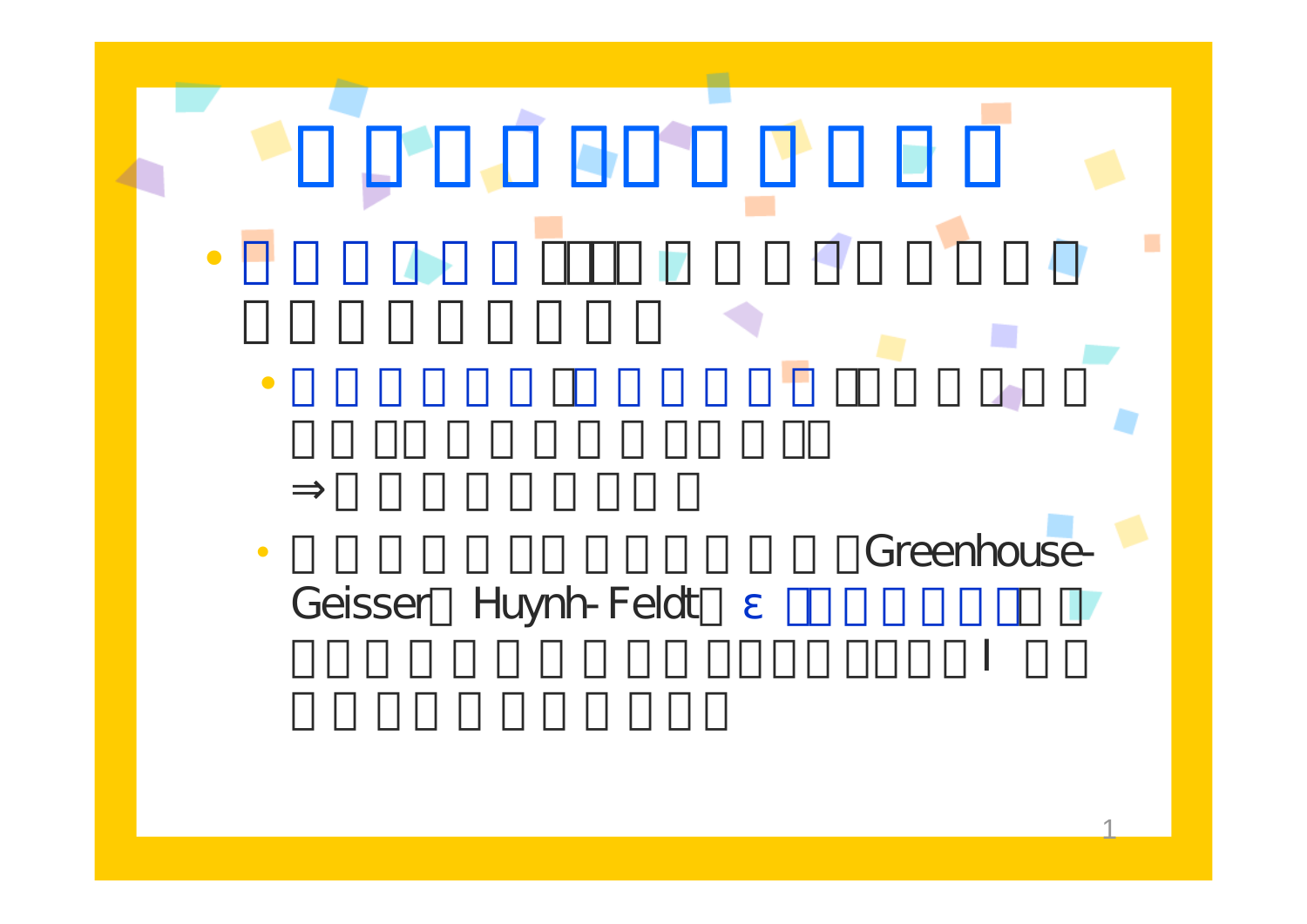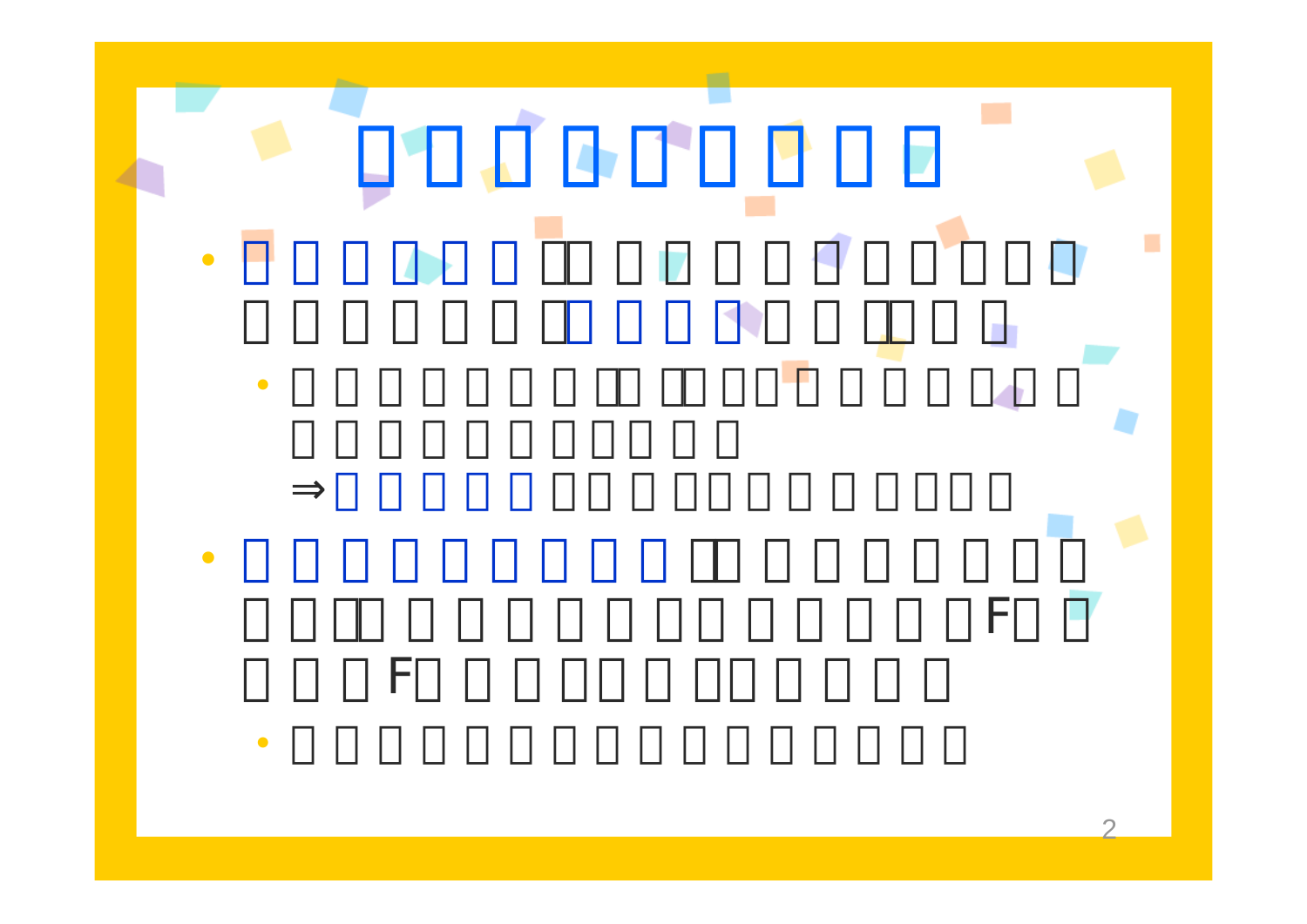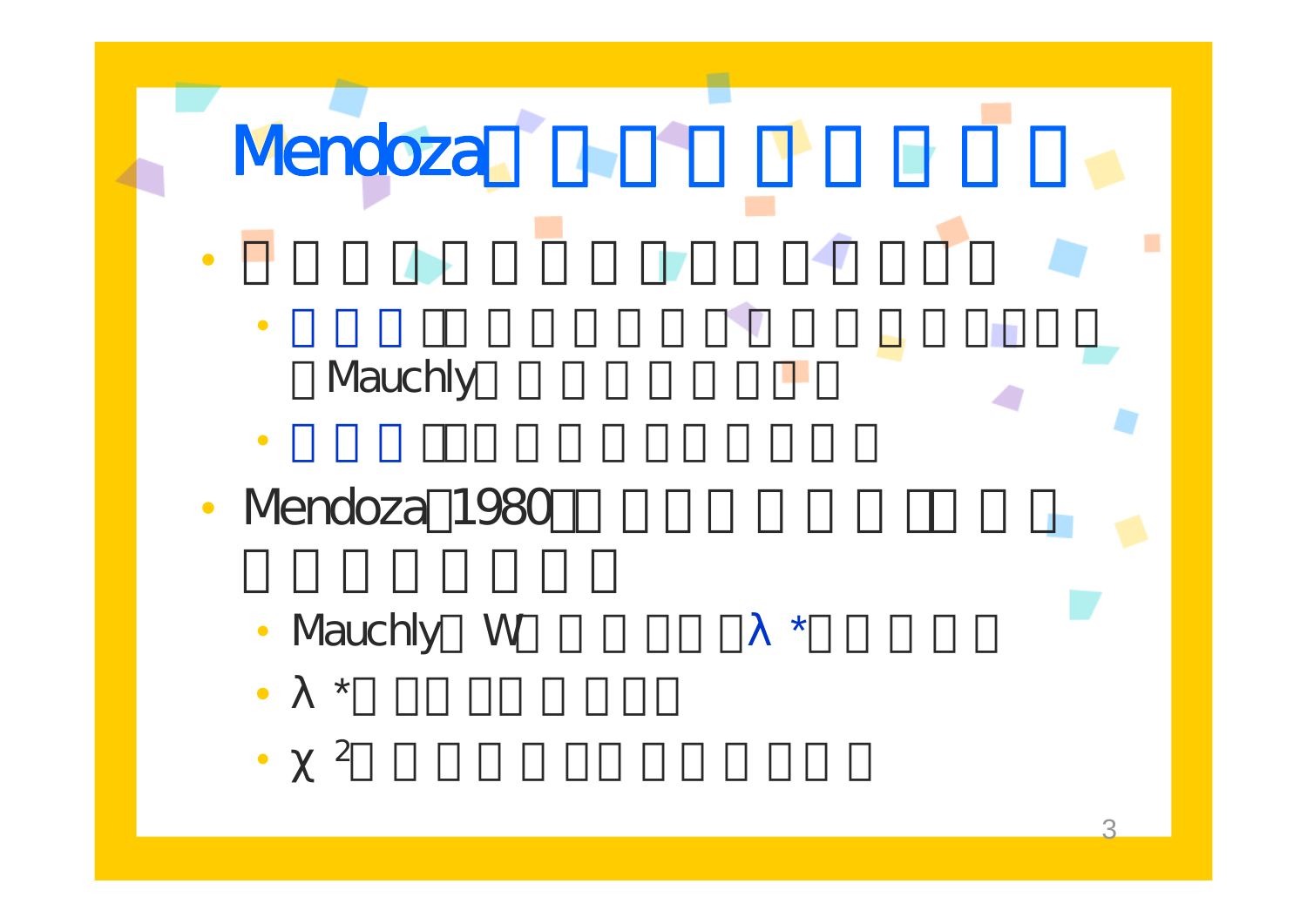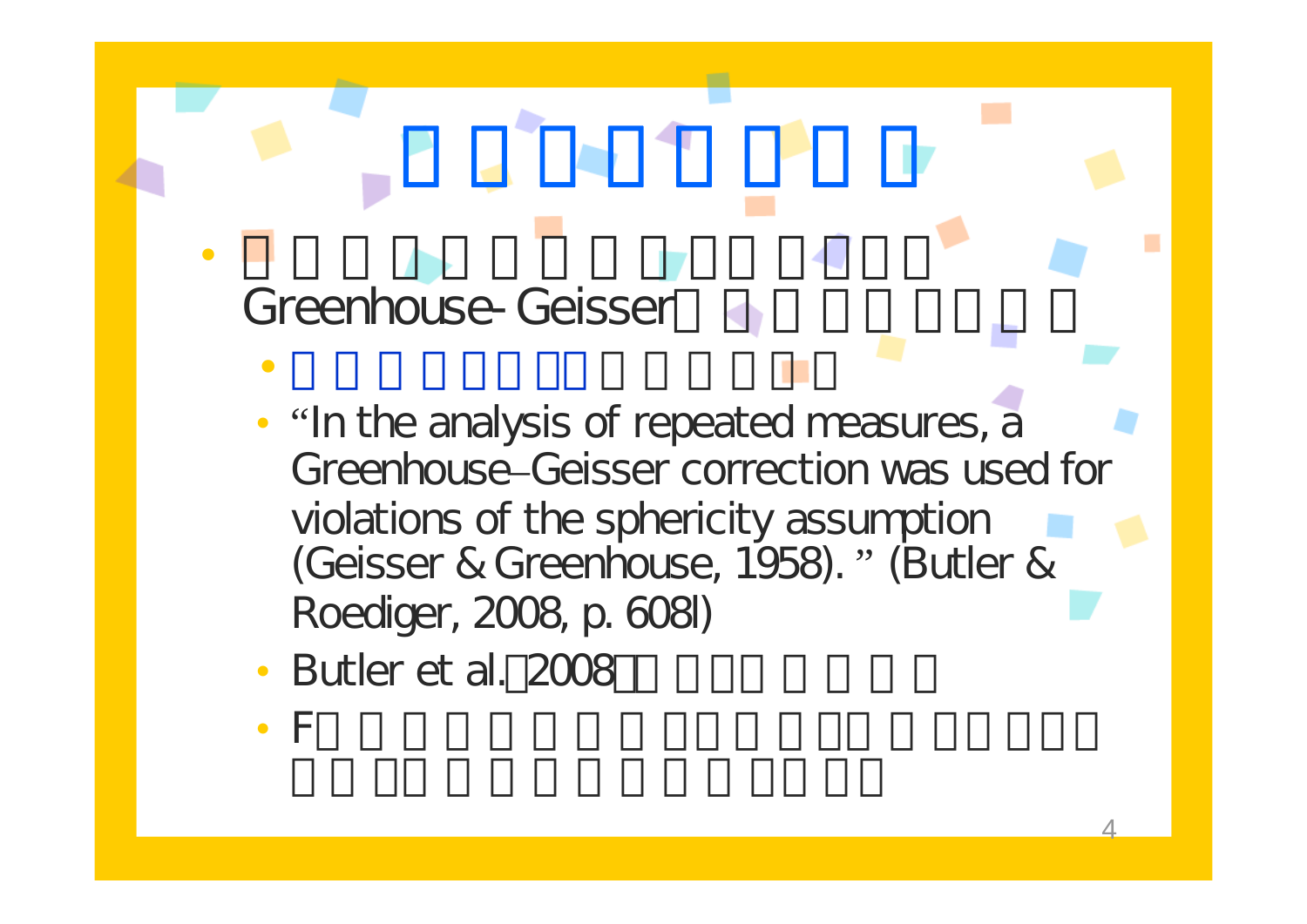## Greenhouse-Geisser

• "In the analysis of repeated measures, a Greenhouse–Geisser correction was used for violations of the sphericity assumption (Geisser & Greenhouse, 1958). " (Butler & Roediger, 2008, p. 608l)

論文への記載例1

• Butler et al.  $2008$ 

• F  $\bullet$  F  $\bullet$  . Hence  $\bullet$  and  $\bullet$  and  $\bullet$  and  $\bullet$  and  $\bullet$  and  $\bullet$  and  $\bullet$  and  $\bullet$  and  $\bullet$  and  $\bullet$  and  $\bullet$  and  $\bullet$  and  $\bullet$  and  $\bullet$  and  $\bullet$  and  $\bullet$  and  $\bullet$  and  $\bullet$  and  $\bullet$  and  $\bullet$  and  $\bullet$  and  $\bullet$  and  $\bullet$ 

 $\bullet$ 

•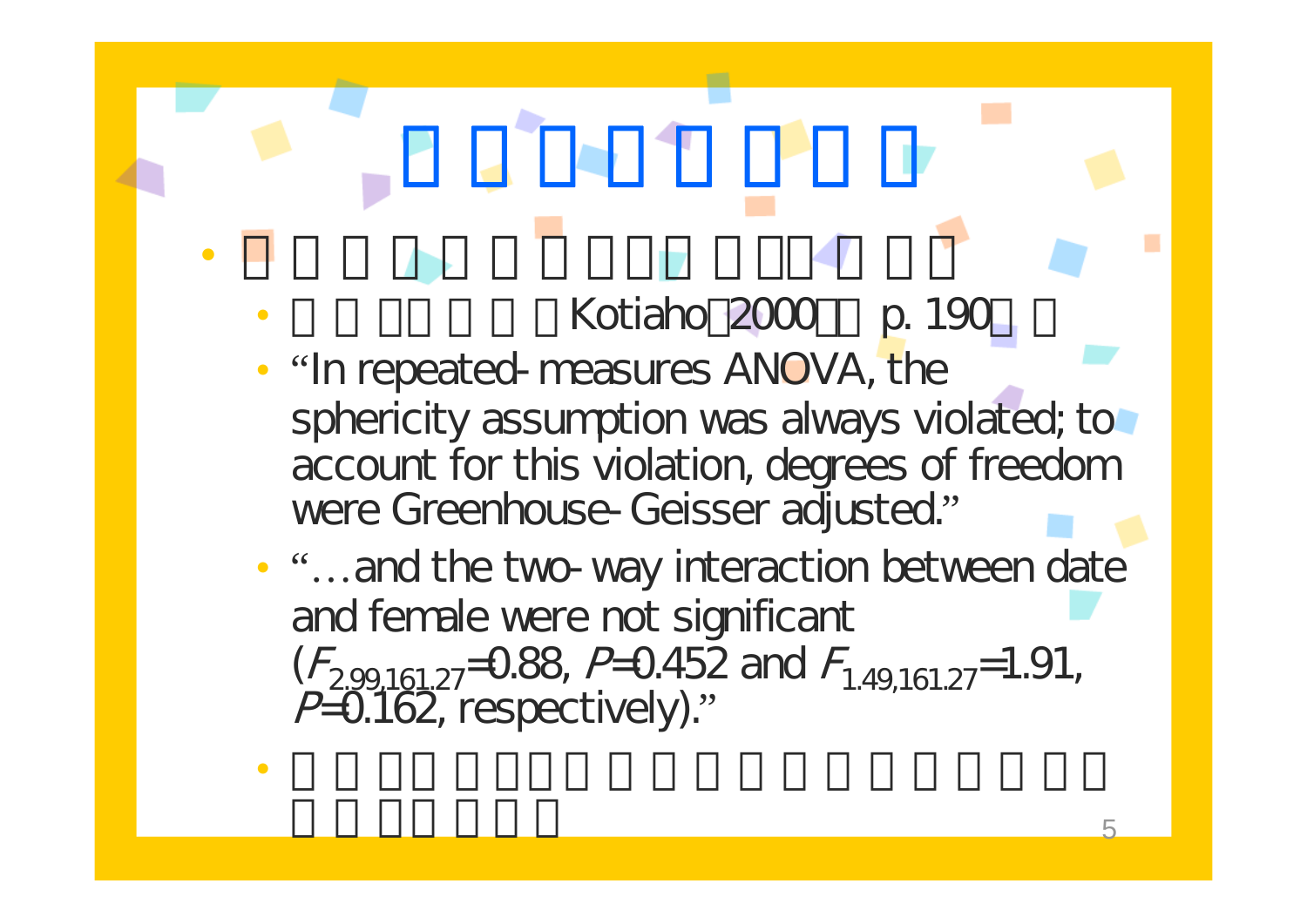## Kotiaho 2000 p. 190

5

• "In repeated-measures ANOVA, the sphericity assumption was always violated; to account for this violation, degrees of freedom were Greenhouse-Geisser adjusted."

論文への記載例2

 $\bullet$ 

•

•

• "... and the two-way interaction between date and female were not significant  $(F_{299,161.27}$ =0.88, P=0.452 and  $F_{1.49,161.27}$ =1.91,<br>P=0.162, respectively)."